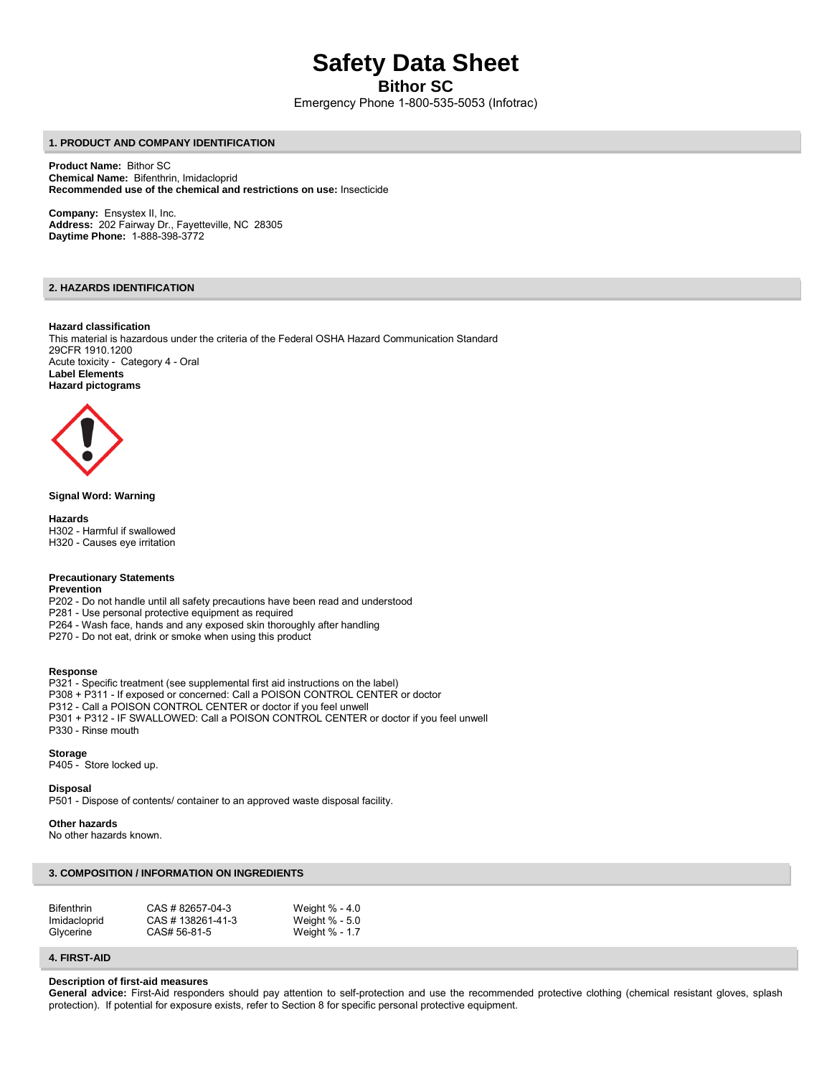# **Safety Data Sheet**

**Bithor SC** 

Emergency Phone 1-800-535-5053 (Infotrac)

# **1. PRODUCT AND COMPANY IDENTIFICATION**

**Product Name:** Bithor SC **Chemical Name:** Bifenthrin, Imidacloprid **Recommended use of the chemical and restrictions on use:** Insecticide

**Company:** Ensystex II, Inc. **Address:** 202 Fairway Dr., Fayetteville, NC 28305 **Daytime Phone:** 1-888-398-3772

# **2. HAZARDS IDENTIFICATION**

#### **Hazard classification**

This material is hazardous under the criteria of the Federal OSHA Hazard Communication Standard 29CFR 1910.1200 Acute toxicity - Category 4 - Oral **Label Elements Hazard pictograms** 



# **Signal Word: Warning**

**Hazards**  H302 - Harmful if swallowed H320 - Causes eye irritation

## **Precautionary Statements**

**Prevention** 

- P202 Do not handle until all safety precautions have been read and understood
- P281 Use personal protective equipment as required
- P264 Wash face, hands and any exposed skin thoroughly after handling
- P270 Do not eat, drink or smoke when using this product

## **Response**

P321 - Specific treatment (see supplemental first aid instructions on the label) P308 + P311 - If exposed or concerned: Call a POISON CONTROL CENTER or doctor P312 - Call a POISON CONTROL CENTER or doctor if you feel unwell P301 + P312 - IF SWALLOWED: Call a POISON CONTROL CENTER or doctor if you feel unwell P330 - Rinse mouth

# **Storage**

P405 - Store locked up.

**Disposal** 

P501 - Dispose of contents/ container to an approved waste disposal facility.

#### **Other hazards**

No other hazards known.

# **3. COMPOSITION / INFORMATION ON INGREDIENTS**

| <b>Bifenthrin</b> | CAS # 82657-04-3  | Weight $% -4.0$ |
|-------------------|-------------------|-----------------|
| Imidacloprid      | CAS # 138261-41-3 | Weight % - 5.0  |
| Glycerine         | CAS# 56-81-5      | Weight % - 1.7  |

# **4. FIRST-AID**

#### **Description of first-aid measures**

General advice: First-Aid responders should pay attention to self-protection and use the recommended protective clothing (chemical resistant gloves, splash protection). If potential for exposure exists, refer to Section 8 for specific personal protective equipment.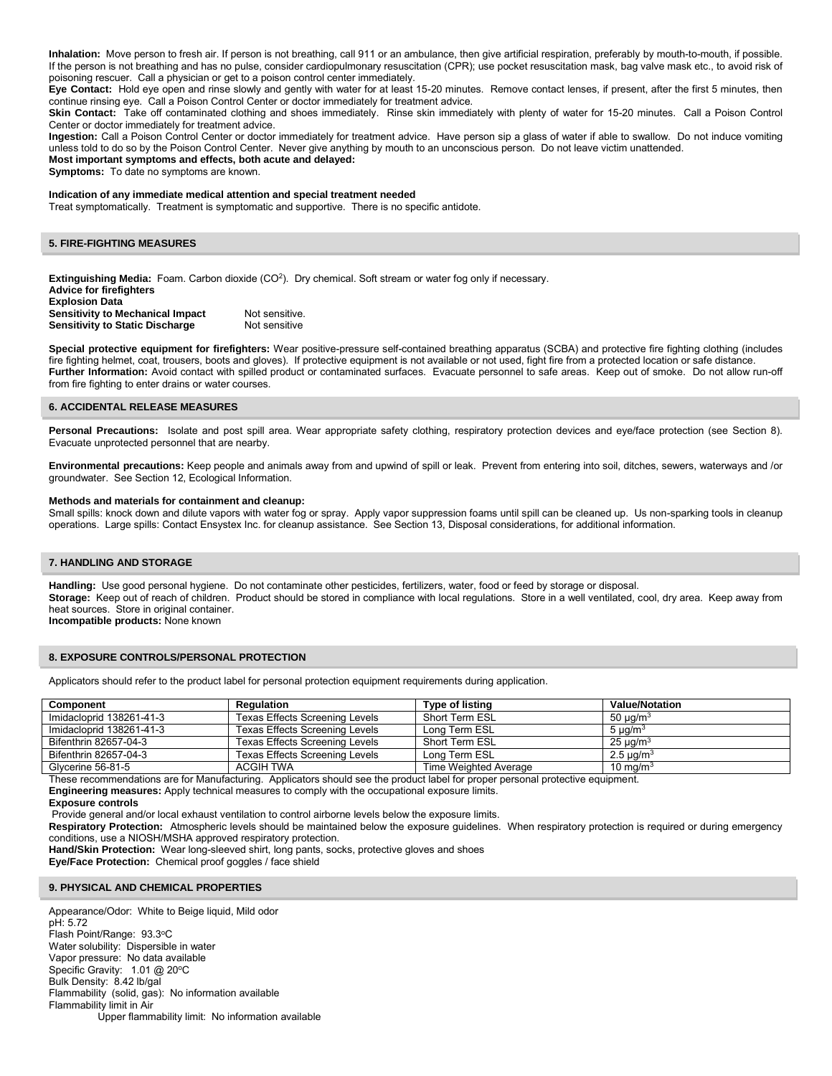**Inhalation:** Move person to fresh air. If person is not breathing, call 911 or an ambulance, then give artificial respiration, preferably by mouth-to-mouth, if possible. If the person is not breathing and has no pulse, consider cardiopulmonary resuscitation (CPR); use pocket resuscitation mask, bag valve mask etc., to avoid risk of poisoning rescuer. Call a physician or get to a poison control center immediately.

**Eye Contact:** Hold eye open and rinse slowly and gently with water for at least 15-20 minutes. Remove contact lenses, if present, after the first 5 minutes, then continue rinsing eye. Call a Poison Control Center or doctor immediately for treatment advice.

**Skin Contact:** Take off contaminated clothing and shoes immediately. Rinse skin immediately with plenty of water for 15-20 minutes. Call a Poison Control Center or doctor immediately for treatment advice.

**Ingestion:** Call a Poison Control Center or doctor immediately for treatment advice. Have person sip a glass of water if able to swallow. Do not induce vomiting unless told to do so by the Poison Control Center. Never give anything by mouth to an unconscious person. Do not leave victim unattended. **Most important symptoms and effects, both acute and delayed:** 

**Symptoms:** To date no symptoms are known.

## **Indication of any immediate medical attention and special treatment needed**

Treat symptomatically. Treatment is symptomatic and supportive. There is no specific antidote.

#### **5. FIRE-FIGHTING MEASURES**

Extinguishing Media: Foam. Carbon dioxide (CO<sup>2</sup>). Dry chemical. Soft stream or water fog only if necessary. **Advice for firefighters Explosion Data Sensitivity to Mechanical Impact Not sensitive. Sensitivity to Static Discharge Mot sensitive** 

**Special protective equipment for firefighters:** Wear positive-pressure self-contained breathing apparatus (SCBA) and protective fire fighting clothing (includes fire fighting helmet, coat, trousers, boots and gloves). If protective equipment is not available or not used, fight fire from a protected location or safe distance. Further Information: Avoid contact with spilled product or contaminated surfaces. Evacuate personnel to safe areas. Keep out of smoke. Do not allow run-off from fire fighting to enter drains or water courses.

#### **6. ACCIDENTAL RELEASE MEASURES**

Personal Precautions: Isolate and post spill area. Wear appropriate safety clothing, respiratory protection devices and eye/face protection (see Section 8). Evacuate unprotected personnel that are nearby.

**Environmental precautions:** Keep people and animals away from and upwind of spill or leak. Prevent from entering into soil, ditches, sewers, waterways and /or groundwater. See Section 12, Ecological Information.

#### **Methods and materials for containment and cleanup:**

Small spills: knock down and dilute vapors with water fog or spray. Apply vapor suppression foams until spill can be cleaned up. Us non-sparking tools in cleanup operations. Large spills: Contact Ensystex Inc. for cleanup assistance. See Section 13, Disposal considerations, for additional information.

#### **7. HANDLING AND STORAGE**

**Handling:** Use good personal hygiene. Do not contaminate other pesticides, fertilizers, water, food or feed by storage or disposal. **Storage:** Keep out of reach of children. Product should be stored in compliance with local regulations. Store in a well ventilated, cool, dry area. Keep away from heat sources. Store in original container. **Incompatible products:** None known

#### **8. EXPOSURE CONTROLS/PERSONAL PROTECTION**

Applicators should refer to the product label for personal protection equipment requirements during application.

| <b>Component</b>         | Regulation                     | <b>Type of listing</b> | <b>Value/Notation</b>      |
|--------------------------|--------------------------------|------------------------|----------------------------|
| Imidacloprid 138261-41-3 | Texas Effects Screening Levels | Short Term ESL         | 50 µg/m $^3$               |
| Imidacloprid 138261-41-3 | Texas Effects Screening Levels | Long Term ESL          | 5 $\mu$ g/m <sup>3</sup>   |
| Bifenthrin 82657-04-3    | Texas Effects Screening Levels | Short Term ESL         | $25 \mu q/m^3$             |
| Bifenthrin 82657-04-3    | Texas Effects Screening Levels | Long Term ESL          | 2.5 $\mu$ g/m <sup>3</sup> |
| Glycerine 56-81-5        | ACGIH TWA                      | Time Weighted Average  | 10 mg/m $3$                |

These recommendations are for Manufacturing. Applicators should see the product label for proper personal protective equipment.

**Engineering measures:** Apply technical measures to comply with the occupational exposure limits.

Provide general and/or local exhaust ventilation to control airborne levels below the exposure limits.

**Respiratory Protection:** Atmospheric levels should be maintained below the exposure guidelines. When respiratory protection is required or during emergency conditions, use a NIOSH/MSHA approved respiratory protection.

**Hand/Skin Protection:** Wear long-sleeved shirt, long pants, socks, protective gloves and shoes

**Eye/Face Protection:** Chemical proof goggles / face shield

## **9. PHYSICAL AND CHEMICAL PROPERTIES**

Appearance/Odor: White to Beige liquid, Mild odor pH: 5.72 Flash Point/Range: 93.3°C Water solubility: Dispersible in water Vapor pressure: No data available Specific Gravity: 1.01 @ 20°C Bulk Density: 8.42 lb/gal Flammability (solid, gas): No information available Flammability limit in Air Upper flammability limit: No information available

**Exposure controls**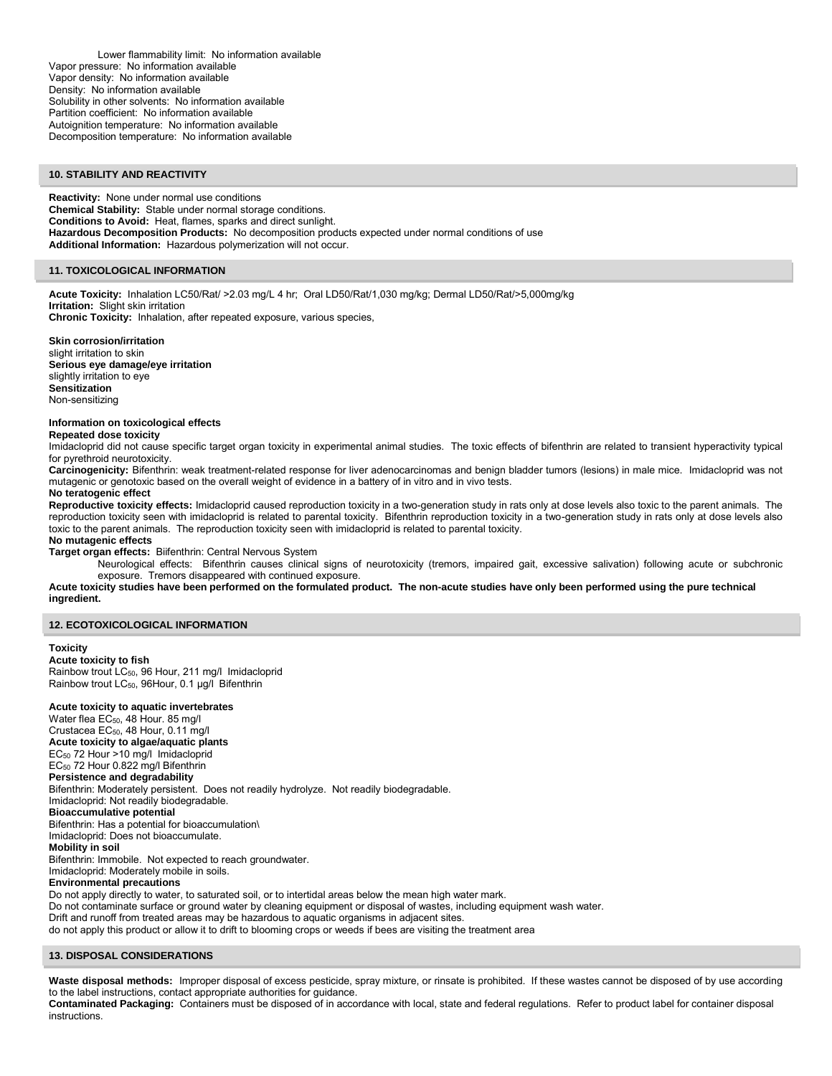Lower flammability limit: No information available Vapor pressure: No information available Vapor density: No information available Density: No information available Solubility in other solvents: No information available Partition coefficient: No information available Autoignition temperature: No information available Decomposition temperature: No information available

## **10. STABILITY AND REACTIVITY**

**Reactivity:** None under normal use conditions **Chemical Stability:** Stable under normal storage conditions. **Conditions to Avoid:** Heat, flames, sparks and direct sunlight. **Hazardous Decomposition Products:** No decomposition products expected under normal conditions of use **Additional Information:** Hazardous polymerization will not occur.

# **11. TOXICOLOGICAL INFORMATION**

**Acute Toxicity:** Inhalation LC50/Rat/ >2.03 mg/L 4 hr; Oral LD50/Rat/1,030 mg/kg; Dermal LD50/Rat/>5,000mg/kg **Irritation:** Slight skin irritation **Chronic Toxicity:** Inhalation, after repeated exposure, various species,

#### **Skin corrosion/irritation**

slight irritation to skin **Serious eye damage/eye irritation**  slightly irritation to eye **Sensitization**  Non-sensitizing

#### **Information on toxicological effects**

**Repeated dose toxicity** 

Imidacloprid did not cause specific target organ toxicity in experimental animal studies. The toxic effects of bifenthrin are related to transient hyperactivity typical for pyrethroid neurotoxicity.

**Carcinogenicity:** Bifenthrin: weak treatment-related response for liver adenocarcinomas and benign bladder tumors (lesions) in male mice. Imidacloprid was not mutagenic or genotoxic based on the overall weight of evidence in a battery of in vitro and in vivo tests.

#### **No teratogenic effect**

**Reproductive toxicity effects:** Imidacloprid caused reproduction toxicity in a two-generation study in rats only at dose levels also toxic to the parent animals. The reproduction toxicity seen with imidacloprid is related to parental toxicity. Bifenthrin reproduction toxicity in a two-generation study in rats only at dose levels also toxic to the parent animals. The reproduction toxicity seen with imidacloprid is related to parental toxicity.

#### **No mutagenic effects**

**Target organ effects:** Biifenthrin: Central Nervous System

 Neurological effects: Bifenthrin causes clinical signs of neurotoxicity (tremors, impaired gait, excessive salivation) following acute or subchronic exposure. Tremors disappeared with continued exposure.

**Acute toxicity studies have been performed on the formulated product. The non-acute studies have only been performed using the pure technical ingredient.** 

#### **12. ECOTOXICOLOGICAL INFORMATION**

# **Toxicity**

**Acute toxicity to fish**  Rainbow trout LC<sub>50</sub>, 96 Hour, 211 mg/l Imidacloprid Rainbow trout LC<sub>50</sub>, 96Hour, 0.1 µg/l Bifenthrin

# **Acute toxicity to aquatic invertebrates**

Water flea EC<sub>50</sub>, 48 Hour. 85 mg/l Crustacea EC<sub>50</sub>, 48 Hour, 0.11 mg/l **Acute toxicity to algae/aquatic plants**  EC50 72 Hour >10 mg/l Imidacloprid EC50 72 Hour 0.822 mg/l Bifenthrin **Persistence and degradability**  Bifenthrin: Moderately persistent. Does not readily hydrolyze. Not readily biodegradable. Imidacloprid: Not readily biodegradable. **Bioaccumulative potential**  Bifenthrin: Has a potential for bioaccumulation\ Imidacloprid: Does not bioaccumulate. **Mobility in soil**  Bifenthrin: Immobile. Not expected to reach groundwater. Imidacloprid: Moderately mobile in soils. **Environmental precautions**  Do not apply directly to water, to saturated soil, or to intertidal areas below the mean high water mark. Do not contaminate surface or ground water by cleaning equipment or disposal of wastes, including equipment wash water.

Drift and runoff from treated areas may be hazardous to aquatic organisms in adjacent sites.

do not apply this product or allow it to drift to blooming crops or weeds if bees are visiting the treatment area

# **13. DISPOSAL CONSIDERATIONS**

**Waste disposal methods:** Improper disposal of excess pesticide, spray mixture, or rinsate is prohibited. If these wastes cannot be disposed of by use according to the label instructions, contact appropriate authorities for guidance.

**Contaminated Packaging:** Containers must be disposed of in accordance with local, state and federal regulations. Refer to product label for container disposal instructions.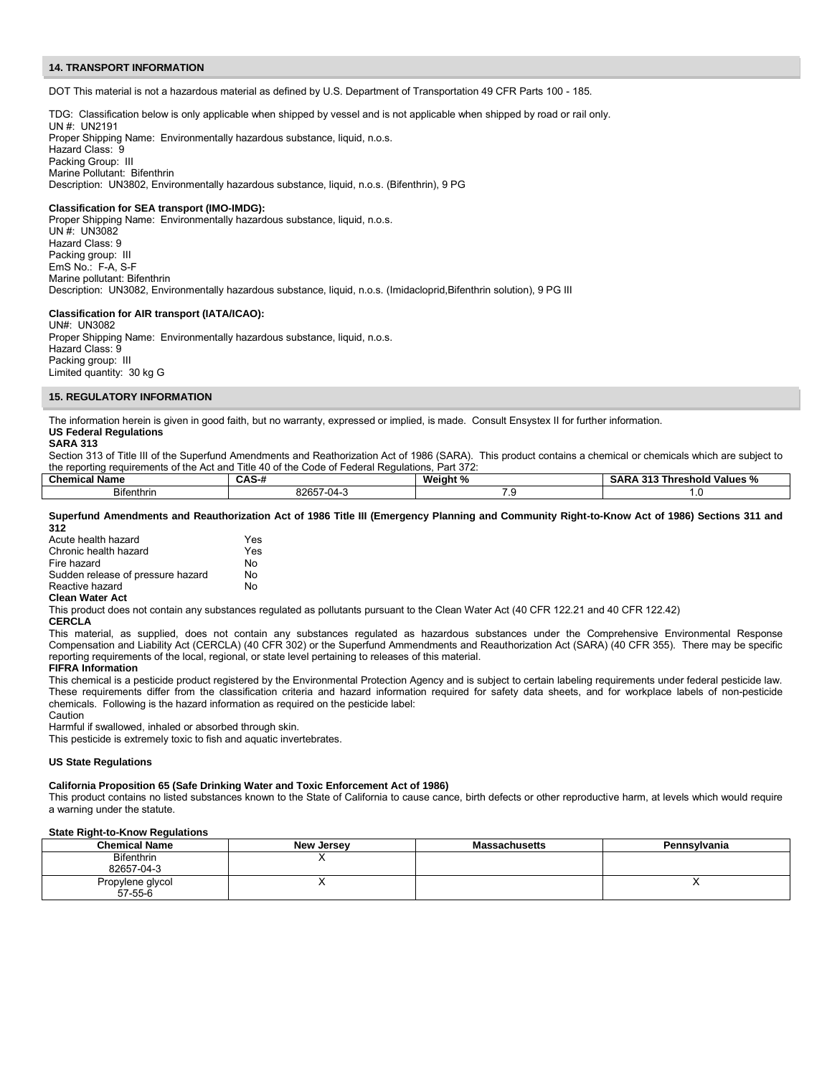#### **14. TRANSPORT INFORMATION**

DOT This material is not a hazardous material as defined by U.S. Department of Transportation 49 CFR Parts 100 - 185.

TDG: Classification below is only applicable when shipped by vessel and is not applicable when shipped by road or rail only.

UN #: UN2191 Proper Shipping Name: Environmentally hazardous substance, liquid, n.o.s. Hazard Class: 9 Packing Group: III Marine Pollutant: Bifenthrin Description: UN3802, Environmentally hazardous substance, liquid, n.o.s. (Bifenthrin), 9 PG

#### **Classification for SEA transport (IMO-IMDG):**

Proper Shipping Name: Environmentally hazardous substance, liquid, n.o.s. UN #: UN3082 Hazard Class: 9 Packing group: III EmS No.: F-A, S-F Marine pollutant: Bifenthrin Description: UN3082, Environmentally hazardous substance, liquid, n.o.s. (Imidacloprid,Bifenthrin solution), 9 PG III

# **Classification for AIR transport (IATA/ICAO):**

UN#: UN3082 Proper Shipping Name: Environmentally hazardous substance, liquid, n.o.s. Hazard Class: 9 Packing group: III Limited quantity: 30 kg G

## **15. REGULATORY INFORMATION**

The information herein is given in good faith, but no warranty, expressed or implied, is made. Consult Ensystex II for further information. **US Federal Regulations** 

## **SARA 313**

Section 313 of Title III of the Superfund Amendments and Reathorization Act of 1986 (SARA). This product contains a chemical or chemicals which are subject to the reporting requirements of the Act and Title 40 of the Code of Federal Regulations, Part 372:

| Chemica<br>- -<br>Name | $\mathbf{v}$<br>unu              | Weiaht<br> | . .<br>Values<br>resnoic<br>. .<br>nı<br>70<br>JAN,<br>. |
|------------------------|----------------------------------|------------|----------------------------------------------------------|
| Bitenthrin             | 000F7<br>$\mathbf{v}$<br>.,<br>. | .          |                                                          |

#### **Superfund Amendments and Reauthorization Act of 1986 Title III (Emergency Planning and Community Right-to-Know Act of 1986) Sections 311 and 312**

| Acute health hazard               | Yes |
|-----------------------------------|-----|
| Chronic health hazard             | Yes |
| Fire hazard                       | N٥  |
| Sudden release of pressure hazard | N٥  |
| Reactive hazard                   | N٥  |
|                                   |     |

# **Clean Water Act**

This product does not contain any substances regulated as pollutants pursuant to the Clean Water Act (40 CFR 122.21 and 40 CFR 122.42)

#### **CERCLA**

This material, as supplied, does not contain any substances regulated as hazardous substances under the Comprehensive Environmental Response Compensation and Liability Act (CERCLA) (40 CFR 302) or the Superfund Ammendments and Reauthorization Act (SARA) (40 CFR 355). There may be specific reporting requirements of the local, regional, or state level pertaining to releases of this material.

#### **FIFRA Information**

This chemical is a pesticide product registered by the Environmental Protection Agency and is subject to certain labeling requirements under federal pesticide law. These requirements differ from the classification criteria and hazard information required for safety data sheets, and for workplace labels of non-pesticide chemicals. Following is the hazard information as required on the pesticide label:

Caution

Harmful if swallowed, inhaled or absorbed through skin.

This pesticide is extremely toxic to fish and aquatic invertebrates.

#### **US State Regulations**

# **California Proposition 65 (Safe Drinking Water and Toxic Enforcement Act of 1986)**

This product contains no listed substances known to the State of California to cause cance, birth defects or other reproductive harm, at levels which would require a warning under the statute.

# **State Right-to-Know Regulations**

| <b>Chemical Name</b>            | New Jersey | <b>Massachusetts</b> | Pennsylvania |
|---------------------------------|------------|----------------------|--------------|
| <b>Bifenthrin</b><br>82657-04-3 |            |                      |              |
| Propylene glycol<br>57-55-6     |            |                      |              |